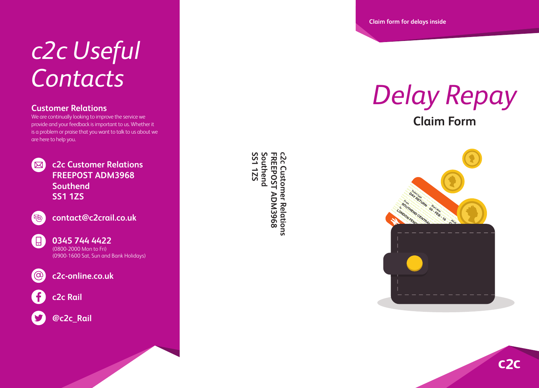## *c2c Useful Contacts*

### **Customer Relations**

We are continually looking to improve the service we provide and your feedback is important to us. Whether it is a problem or praise that you want to talk to us about we are here to help you.



**c2c Customer Relations FREEPOST ADM3968 Southend SS1 1ZS**



**contact@c2crail.co.uk**



**0345 744 4422** (0800-2000 Mon to Fri) (0900-1600 Sat, Sun and Bank Holidays)

 $\omega$ 

**c2c-online.co.uk**





**@c2c\_Rail**

**FREEPOST ADM3968**<br>Southend<br>SS1 1ZS **C2c Southend FREEPOST ADM3968 c2c Customer Relations Customer Relations** 

**Claim form for delays inside**

# *Delay Repay*

**Claim Form**